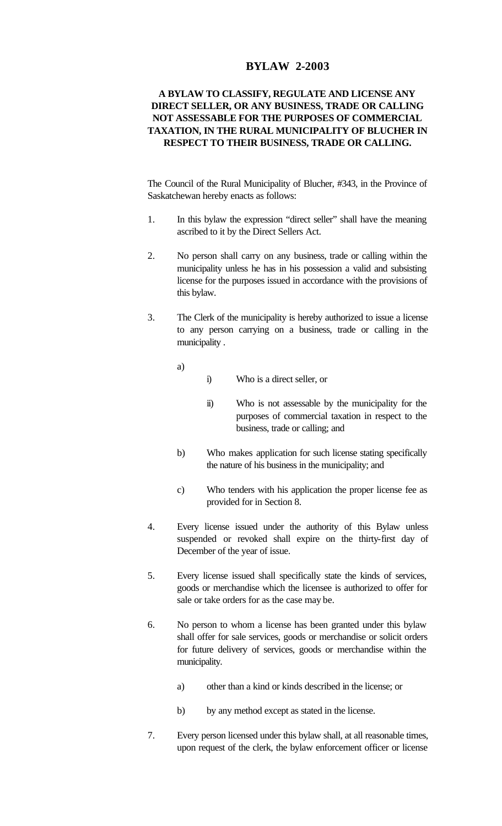## **BYLAW 2-2003**

## **A BYLAW TO CLASSIFY, REGULATE AND LICENSE ANY DIRECT SELLER, OR ANY BUSINESS, TRADE OR CALLING NOT ASSESSABLE FOR THE PURPOSES OF COMMERCIAL TAXATION, IN THE RURAL MUNICIPALITY OF BLUCHER IN RESPECT TO THEIR BUSINESS, TRADE OR CALLING.**

The Council of the Rural Municipality of Blucher, #343, in the Province of Saskatchewan hereby enacts as follows:

- 1. In this bylaw the expression "direct seller" shall have the meaning ascribed to it by the Direct Sellers Act.
- 2. No person shall carry on any business, trade or calling within the municipality unless he has in his possession a valid and subsisting license for the purposes issued in accordance with the provisions of this bylaw.
- 3. The Clerk of the municipality is hereby authorized to issue a license to any person carrying on a business, trade or calling in the municipality .
	- a)
- i) Who is a direct seller, or
- ii) Who is not assessable by the municipality for the purposes of commercial taxation in respect to the business, trade or calling; and
- b) Who makes application for such license stating specifically the nature of his business in the municipality; and
- c) Who tenders with his application the proper license fee as provided for in Section 8.
- 4. Every license issued under the authority of this Bylaw unless suspended or revoked shall expire on the thirty-first day of December of the year of issue.
- 5. Every license issued shall specifically state the kinds of services, goods or merchandise which the licensee is authorized to offer for sale or take orders for as the case may be.
- 6. No person to whom a license has been granted under this bylaw shall offer for sale services, goods or merchandise or solicit orders for future delivery of services, goods or merchandise within the municipality.
	- a) other than a kind or kinds described in the license; or
	- b) by any method except as stated in the license.
- 7. Every person licensed under this bylaw shall, at all reasonable times, upon request of the clerk, the bylaw enforcement officer or license